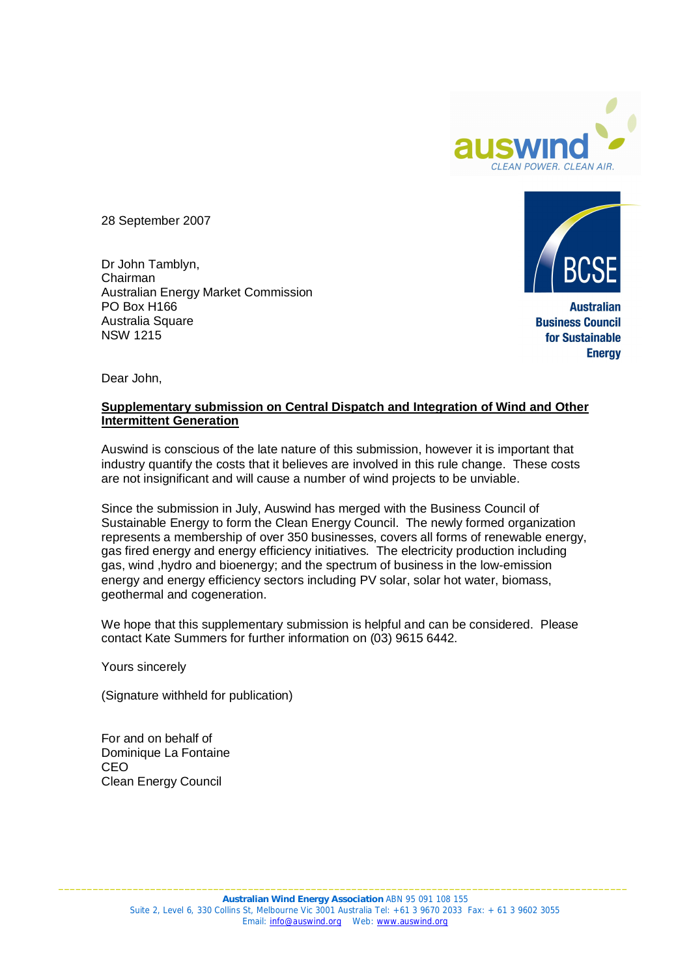

28 September 2007

Dr John Tamblyn, Chairman Australian Energy Market Commission PO Box H166 Australia Square NSW 1215



**Australian Business Council** for Sustainable **Energy** 

Dear John,

### **Supplementary submission on Central Dispatch and Integration of Wind and Other Intermittent Generation**

Auswind is conscious of the late nature of this submission, however it is important that industry quantify the costs that it believes are involved in this rule change. These costs are not insignificant and will cause a number of wind projects to be unviable.

Since the submission in July, Auswind has merged with the Business Council of Sustainable Energy to form the Clean Energy Council. The newly formed organization represents a membership of over 350 businesses, covers all forms of renewable energy, gas fired energy and energy efficiency initiatives. The electricity production including gas, wind ,hydro and bioenergy; and the spectrum of business in the low-emission energy and energy efficiency sectors including PV solar, solar hot water, biomass, geothermal and cogeneration.

We hope that this supplementary submission is helpful and can be considered. Please contact Kate Summers for further information on (03) 9615 6442.

Yours sincerely

(Signature withheld for publication)

For and on behalf of Dominique La Fontaine CEO Clean Energy Council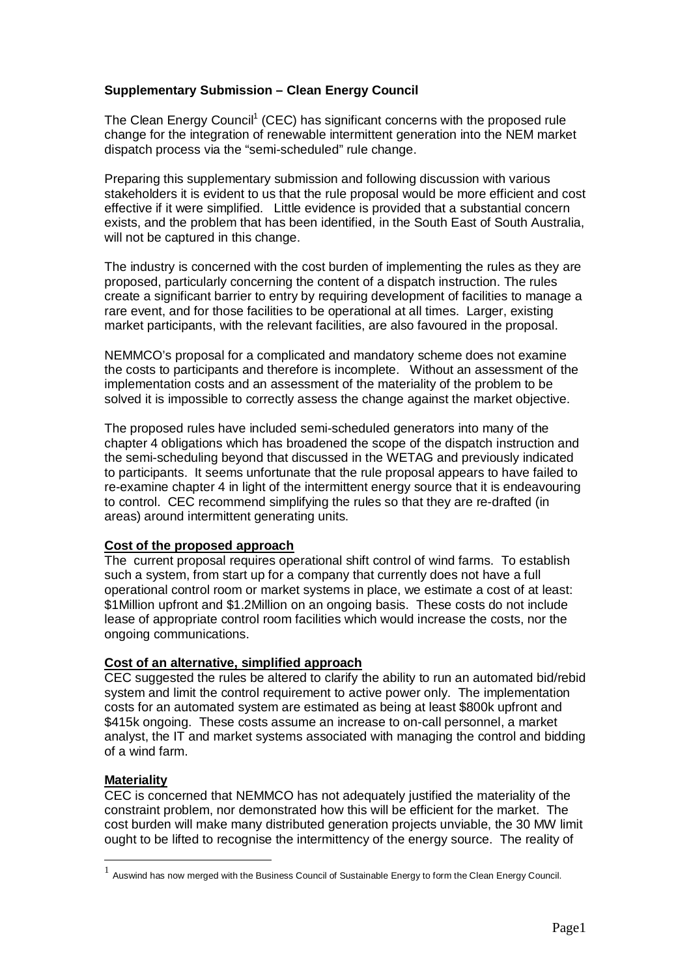# **Supplementary Submission – Clean Energy Council**

The Clean Energy Council<sup>1</sup> (CEC) has significant concerns with the proposed rule change for the integration of renewable intermittent generation into the NEM market dispatch process via the "semi-scheduled" rule change.

Preparing this supplementary submission and following discussion with various stakeholders it is evident to us that the rule proposal would be more efficient and cost effective if it were simplified. Little evidence is provided that a substantial concern exists, and the problem that has been identified, in the South East of South Australia, will not be captured in this change.

The industry is concerned with the cost burden of implementing the rules as they are proposed, particularly concerning the content of a dispatch instruction. The rules create a significant barrier to entry by requiring development of facilities to manage a rare event, and for those facilities to be operational at all times. Larger, existing market participants, with the relevant facilities, are also favoured in the proposal.

NEMMCO's proposal for a complicated and mandatory scheme does not examine the costs to participants and therefore is incomplete. Without an assessment of the implementation costs and an assessment of the materiality of the problem to be solved it is impossible to correctly assess the change against the market objective.

The proposed rules have included semi-scheduled generators into many of the chapter 4 obligations which has broadened the scope of the dispatch instruction and the semi-scheduling beyond that discussed in the WETAG and previously indicated to participants. It seems unfortunate that the rule proposal appears to have failed to re-examine chapter 4 in light of the intermittent energy source that it is endeavouring to control. CEC recommend simplifying the rules so that they are re-drafted (in areas) around intermittent generating units.

# **Cost of the proposed approach**

The current proposal requires operational shift control of wind farms. To establish such a system, from start up for a company that currently does not have a full operational control room or market systems in place, we estimate a cost of at least: \$1Million upfront and \$1.2Million on an ongoing basis. These costs do not include lease of appropriate control room facilities which would increase the costs, nor the ongoing communications.

#### **Cost of an alternative, simplified approach**

CEC suggested the rules be altered to clarify the ability to run an automated bid/rebid system and limit the control requirement to active power only. The implementation costs for an automated system are estimated as being at least \$800k upfront and \$415k ongoing. These costs assume an increase to on-call personnel, a market analyst, the IT and market systems associated with managing the control and bidding of a wind farm.

# **Materiality**

CEC is concerned that NEMMCO has not adequately justified the materiality of the constraint problem, nor demonstrated how this will be efficient for the market. The cost burden will make many distributed generation projects unviable, the 30 MW limit ought to be lifted to recognise the intermittency of the energy source. The reality of

<sup>&</sup>lt;sup>1</sup> Auswind has now merged with the Business Council of Sustainable Energy to form the Clean Energy Council.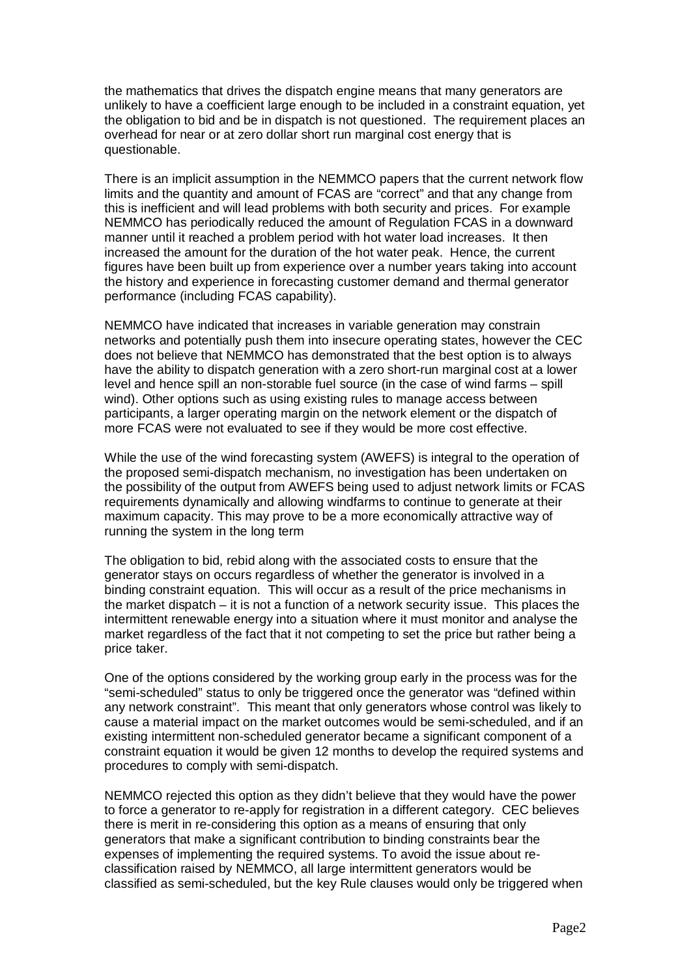the mathematics that drives the dispatch engine means that many generators are unlikely to have a coefficient large enough to be included in a constraint equation, yet the obligation to bid and be in dispatch is not questioned. The requirement places an overhead for near or at zero dollar short run marginal cost energy that is questionable.

There is an implicit assumption in the NEMMCO papers that the current network flow limits and the quantity and amount of FCAS are "correct" and that any change from this is inefficient and will lead problems with both security and prices. For example NEMMCO has periodically reduced the amount of Regulation FCAS in a downward manner until it reached a problem period with hot water load increases. It then increased the amount for the duration of the hot water peak. Hence, the current figures have been built up from experience over a number years taking into account the history and experience in forecasting customer demand and thermal generator performance (including FCAS capability).

NEMMCO have indicated that increases in variable generation may constrain networks and potentially push them into insecure operating states, however the CEC does not believe that NEMMCO has demonstrated that the best option is to always have the ability to dispatch generation with a zero short-run marginal cost at a lower level and hence spill an non-storable fuel source (in the case of wind farms – spill wind). Other options such as using existing rules to manage access between participants, a larger operating margin on the network element or the dispatch of more FCAS were not evaluated to see if they would be more cost effective.

While the use of the wind forecasting system (AWEFS) is integral to the operation of the proposed semi-dispatch mechanism, no investigation has been undertaken on the possibility of the output from AWEFS being used to adjust network limits or FCAS requirements dynamically and allowing windfarms to continue to generate at their maximum capacity. This may prove to be a more economically attractive way of running the system in the long term

The obligation to bid, rebid along with the associated costs to ensure that the generator stays on occurs regardless of whether the generator is involved in a binding constraint equation. This will occur as a result of the price mechanisms in the market dispatch – it is not a function of a network security issue. This places the intermittent renewable energy into a situation where it must monitor and analyse the market regardless of the fact that it not competing to set the price but rather being a price taker.

One of the options considered by the working group early in the process was for the "semi-scheduled" status to only be triggered once the generator was "defined within any network constraint". This meant that only generators whose control was likely to cause a material impact on the market outcomes would be semi-scheduled, and if an existing intermittent non-scheduled generator became a significant component of a constraint equation it would be given 12 months to develop the required systems and procedures to comply with semi-dispatch.

NEMMCO rejected this option as they didn't believe that they would have the power to force a generator to re-apply for registration in a different category. CEC believes there is merit in re-considering this option as a means of ensuring that only generators that make a significant contribution to binding constraints bear the expenses of implementing the required systems. To avoid the issue about reclassification raised by NEMMCO, all large intermittent generators would be classified as semi-scheduled, but the key Rule clauses would only be triggered when